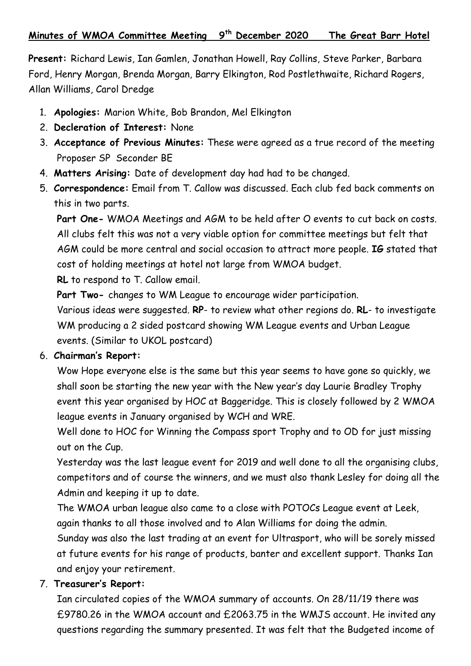**Present:** Richard Lewis, Ian Gamlen, Jonathan Howell, Ray Collins, Steve Parker, Barbara Ford, Henry Morgan, Brenda Morgan, Barry Elkington, Rod Postlethwaite, Richard Rogers, Allan Williams, Carol Dredge

- 1. **Apologies:** Marion White, Bob Brandon, Mel Elkington
- 2. **Decleration of Interest:** None
- 3. **Acceptance of Previous Minutes:** These were agreed as a true record of the meeting Proposer SP Seconder BE
- 4. **Matters Arising:** Date of development day had had to be changed.
- 5. **Correspondence:** Email from T. Callow was discussed. Each club fed back comments on this in two parts.

**Part One-** WMOA Meetings and AGM to be held after O events to cut back on costs. All clubs felt this was not a very viable option for committee meetings but felt that AGM could be more central and social occasion to attract more people. **IG** stated that cost of holding meetings at hotel not large from WMOA budget.

**RL** to respond to T. Callow email.

**Part Two-** changes to WM League to encourage wider participation.

Various ideas were suggested. **RP**- to review what other regions do. **RL**- to investigate WM producing a 2 sided postcard showing WM League events and Urban League events. (Similar to UKOL postcard)

#### 6. **Chairman's Report:**

Wow Hope everyone else is the same but this year seems to have gone so quickly, we shall soon be starting the new year with the New year's day Laurie Bradley Trophy event this year organised by HOC at Baggeridge. This is closely followed by 2 WMOA league events in January organised by WCH and WRE.

Well done to HOC for Winning the Compass sport Trophy and to OD for just missing out on the Cup.

Yesterday was the last league event for 2019 and well done to all the organising clubs, competitors and of course the winners, and we must also thank Lesley for doing all the Admin and keeping it up to date.

The WMOA urban league also came to a close with POTOCs League event at Leek, again thanks to all those involved and to Alan Williams for doing the admin.

Sunday was also the last trading at an event for Ultrasport, who will be sorely missed at future events for his range of products, banter and excellent support. Thanks Ian and enjoy your retirement.

# 7. **Treasurer's Report:**

Ian circulated copies of the WMOA summary of accounts. On 28/11/19 there was £9780.26 in the WMOA account and £2063.75 in the WMJS account. He invited any questions regarding the summary presented. It was felt that the Budgeted income of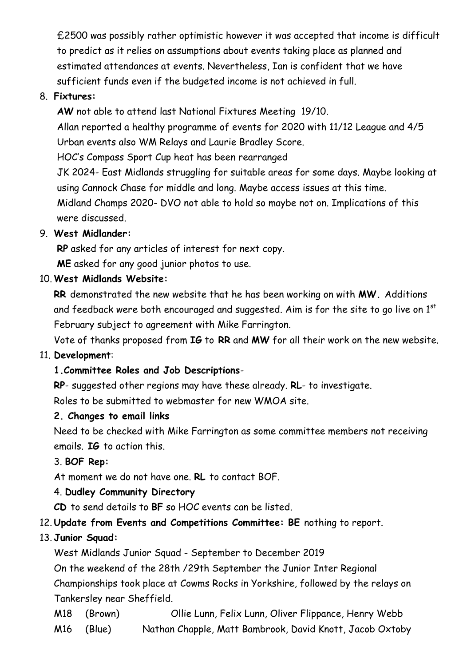£2500 was possibly rather optimistic however it was accepted that income is difficult to predict as it relies on assumptions about events taking place as planned and estimated attendances at events. Nevertheless, Ian is confident that we have sufficient funds even if the budgeted income is not achieved in full.

#### 8. **Fixtures:**

**AW** not able to attend last National Fixtures Meeting 19/10.

Allan reported a healthy programme of events for 2020 with 11/12 League and 4/5 Urban events also WM Relays and Laurie Bradley Score.

HOC's Compass Sport Cup heat has been rearranged

JK 2024- East Midlands struggling for suitable areas for some days. Maybe looking at using Cannock Chase for middle and long. Maybe access issues at this time.

Midland Champs 2020- DVO not able to hold so maybe not on. Implications of this were discussed.

#### 9. **West Midlander:**

**RP** asked for any articles of interest for next copy. **ME** asked for any good junior photos to use.

#### 10. **West Midlands Website:**

**RR** demonstrated the new website that he has been working on with **MW.** Additions and feedback were both encouraged and suggested. Aim is for the site to go live on  $1<sup>st</sup>$ February subject to agreement with Mike Farrington.

Vote of thanks proposed from **IG** to **RR** and **MW** for all their work on the new website.

#### 11. **Development**:

# **1.Committee Roles and Job Descriptions**-

**RP**- suggested other regions may have these already. **RL**- to investigate.

Roles to be submitted to webmaster for new WMOA site.

#### **2. Changes to email links**

Need to be checked with Mike Farrington as some committee members not receiving emails. **IG** to action this.

# 3. **BOF Rep:**

At moment we do not have one. **RL** to contact BOF.

# 4. **Dudley Community Directory**

**CD** to send details to **BF** so HOC events can be listed.

# 12. **Update from Events and Competitions Committee: BE** nothing to report.

# 13. **Junior Squad:**

West Midlands Junior Squad - September to December 2019

On the weekend of the 28th /29th September the Junior Inter Regional Championships took place at Cowms Rocks in Yorkshire, followed by the relays on Tankersley near Sheffield.

M18 (Brown) Ollie Lunn, Felix Lunn, Oliver Flippance, Henry Webb M16 (Blue) Nathan Chapple, Matt Bambrook, David Knott, Jacob Oxtoby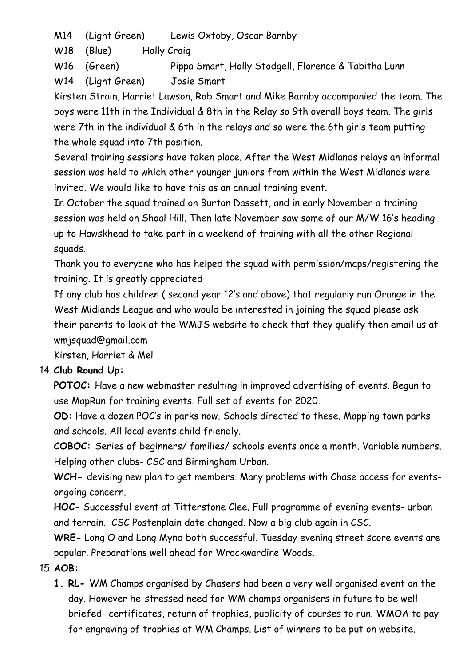M14 (Light Green) Lewis Oxtoby, Oscar Barnby

W<sub>18</sub> (Blue) Holly Craig

W16 (Green) Pippa Smart, Holly Stodgell, Florence & Tabitha Lunn

W14 (Light Green) Josie Smart

Kirsten Strain, Harriet Lawson, Rob Smart and Mike Barnby accompanied the team. The boys were 11th in the Individual & 8th in the Relay so 9th overall boys team. The girls were 7th in the individual & 6th in the relays and so were the 6th girls team putting the whole squad into 7th position.

Several training sessions have taken place. After the West Midlands relays an informal session was held to which other younger juniors from within the West Midlands were invited. We would like to have this as an annual training event.

In October the squad trained on Burton Dassett, and in early November a training session was held on Shoal Hill. Then late November saw some of our M/W 16's heading up to Hawskhead to take part in a weekend of training with all the other Regional squads.

Thank you to everyone who has helped the squad with permission/maps/registering the training. It is greatly appreciated

If any club has children ( second year 12's and above) that regularly run Orange in the West Midlands League and who would be interested in joining the squad please ask their parents to look at the WMJS website to check that they qualify then email us at wmjsquad@gmail.com

Kirsten, Harriet & Mel

# 14. **Club Round Up:**

**POTOC:** Have a new webmaster resulting in improved advertising of events. Begun to use MapRun for training events. Full set of events for 2020.

**OD:** Have a dozen POC's in parks now. Schools directed to these. Mapping town parks and schools. All local events child friendly.

**COBOC:** Series of beginners/ families/ schools events once a month. Variable numbers. Helping other clubs- CSC and Birmingham Urban.

**WCH-** devising new plan to get members. Many problems with Chase access for eventsongoing concern.

**HOC-** Successful event at Titterstone Clee. Full programme of evening events- urban and terrain. CSC Postenplain date changed. Now a big club again in CSC.

**WRE-** Long O and Long Mynd both successful. Tuesday evening street score events are popular. Preparations well ahead for Wrockwardine Woods.

# 15. **AOB:**

**1. RL-** WM Champs organised by Chasers had been a very well organised event on the day. However he stressed need for WM champs organisers in future to be well briefed- certificates, return of trophies, publicity of courses to run. WMOA to pay for engraving of trophies at WM Champs. List of winners to be put on website.